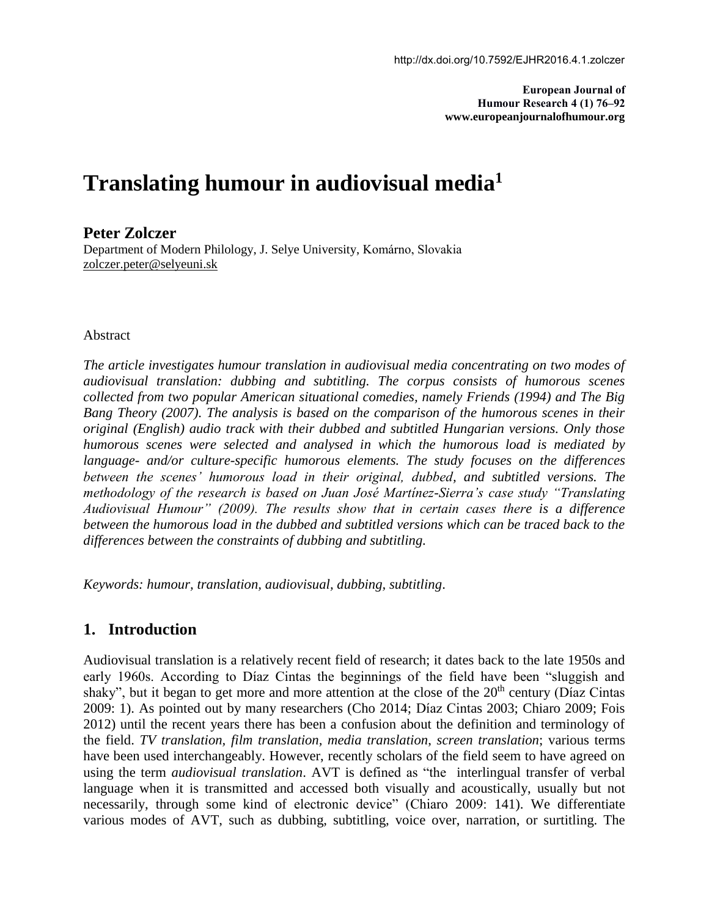**European Journal of Humour Research 4 (1) 76–92 www.europeanjournalofhumour.org**

# **Translating humour in audiovisual media<sup>1</sup>**

## **Peter Zolczer**

Department of Modern Philology, J. Selye University, Komárno, Slovakia [zolczer.peter@selyeuni.sk](mailto:zolczer.peter@selyeuni.sk)

### Abstract

*The article investigates humour translation in audiovisual media concentrating on two modes of audiovisual translation: dubbing and subtitling. The corpus consists of humorous scenes collected from two popular American situational comedies, namely Friends (1994) and The Big Bang Theory (2007). The analysis is based on the comparison of the humorous scenes in their original (English) audio track with their dubbed and subtitled Hungarian versions. Only those humorous scenes were selected and analysed in which the humorous load is mediated by language- and/or culture-specific humorous elements. The study focuses on the differences between the scenes' humorous load in their original, dubbed, and subtitled versions. The methodology of the research is based on Juan José Martínez-Sierra's case study "Translating Audiovisual Humour" (2009). The results show that in certain cases there is a difference between the humorous load in the dubbed and subtitled versions which can be traced back to the differences between the constraints of dubbing and subtitling.*

*Keywords: humour, translation, audiovisual, dubbing, subtitling*.

# **1. Introduction**

Audiovisual translation is a relatively recent field of research; it dates back to the late 1950s and early 1960s. According to Díaz Cintas the beginnings of the field have been "sluggish and shaky", but it began to get more and more attention at the close of the  $20<sup>th</sup>$  century (Díaz Cintas 2009: 1). As pointed out by many researchers (Cho 2014; Díaz Cintas 2003; Chiaro 2009; Fois 2012) until the recent years there has been a confusion about the definition and terminology of the field. *TV translation, film translation, media translation*, *screen translation*; various terms have been used interchangeably. However, recently scholars of the field seem to have agreed on using the term *audiovisual translation*. AVT is defined as "the interlingual transfer of verbal language when it is transmitted and accessed both visually and acoustically, usually but not necessarily, through some kind of electronic device" (Chiaro 2009: 141). We differentiate various modes of AVT, such as dubbing, subtitling, voice over, narration, or surtitling. The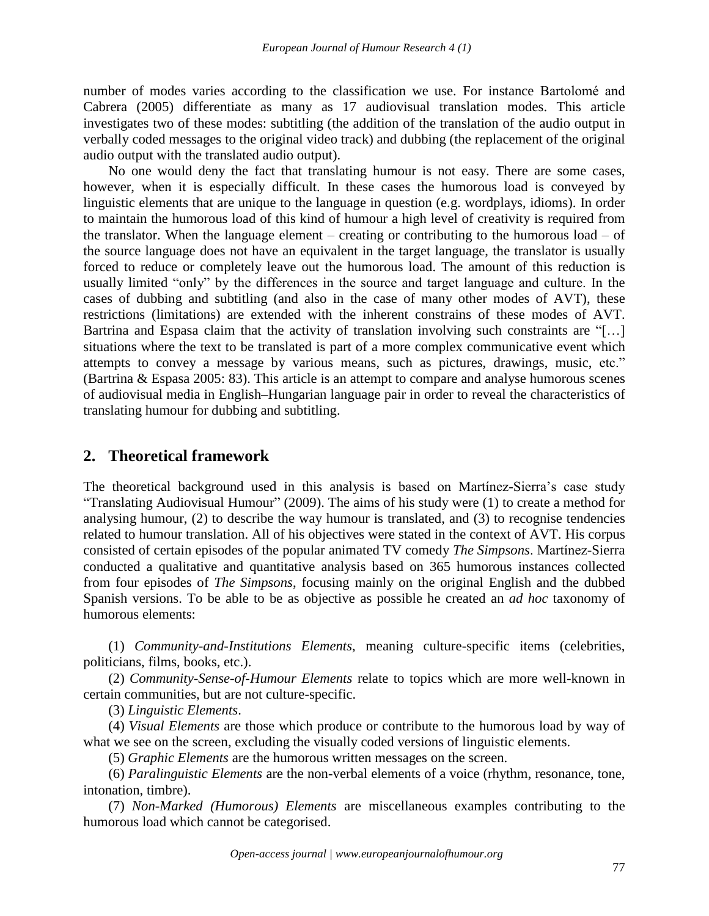number of modes varies according to the classification we use. For instance Bartolomé and Cabrera (2005) differentiate as many as 17 audiovisual translation modes. This article investigates two of these modes: subtitling (the addition of the translation of the audio output in verbally coded messages to the original video track) and dubbing (the replacement of the original audio output with the translated audio output).

No one would deny the fact that translating humour is not easy. There are some cases, however, when it is especially difficult. In these cases the humorous load is conveyed by linguistic elements that are unique to the language in question (e.g. wordplays, idioms). In order to maintain the humorous load of this kind of humour a high level of creativity is required from the translator. When the language element – creating or contributing to the humorous load – of the source language does not have an equivalent in the target language, the translator is usually forced to reduce or completely leave out the humorous load. The amount of this reduction is usually limited "only" by the differences in the source and target language and culture. In the cases of dubbing and subtitling (and also in the case of many other modes of AVT), these restrictions (limitations) are extended with the inherent constrains of these modes of AVT. Bartrina and Espasa claim that the activity of translation involving such constraints are "[...] situations where the text to be translated is part of a more complex communicative event which attempts to convey a message by various means, such as pictures, drawings, music, etc." (Bartrina & Espasa 2005: 83). This article is an attempt to compare and analyse humorous scenes of audiovisual media in English–Hungarian language pair in order to reveal the characteristics of translating humour for dubbing and subtitling.

# **2. Theoretical framework**

The theoretical background used in this analysis is based on Martínez-Sierra's case study "Translating Audiovisual Humour" (2009). The aims of his study were (1) to create a method for analysing humour, (2) to describe the way humour is translated, and (3) to recognise tendencies related to humour translation. All of his objectives were stated in the context of AVT. His corpus consisted of certain episodes of the popular animated TV comedy *The Simpsons*. Martínez-Sierra conducted a qualitative and quantitative analysis based on 365 humorous instances collected from four episodes of *The Simpsons*, focusing mainly on the original English and the dubbed Spanish versions. To be able to be as objective as possible he created an *ad hoc* taxonomy of humorous elements:

(1) *Community-and-Institutions Elements*, meaning culture-specific items (celebrities, politicians, films, books, etc.).

(2) *Community-Sense-of-Humour Elements* relate to topics which are more well-known in certain communities, but are not culture-specific.

(3) *Linguistic Elements*.

(4) *Visual Elements* are those which produce or contribute to the humorous load by way of what we see on the screen, excluding the visually coded versions of linguistic elements.

(5) *Graphic Elements* are the humorous written messages on the screen.

(6) *Paralinguistic Elements* are the non-verbal elements of a voice (rhythm, resonance, tone, intonation, timbre).

(7) *Non-Marked (Humorous) Elements* are miscellaneous examples contributing to the humorous load which cannot be categorised.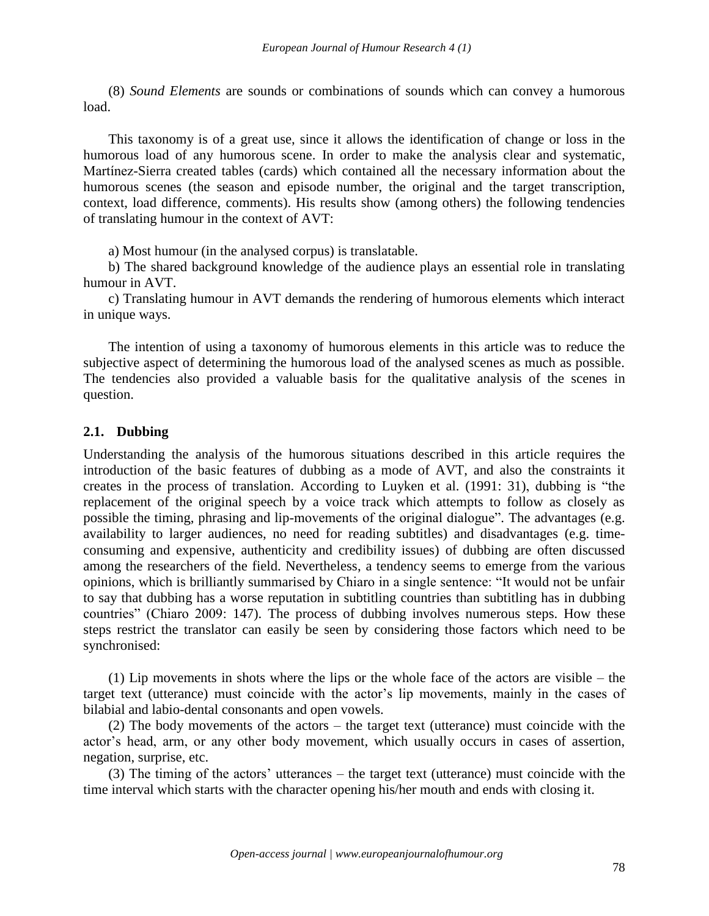(8) *Sound Elements* are sounds or combinations of sounds which can convey a humorous load.

This taxonomy is of a great use, since it allows the identification of change or loss in the humorous load of any humorous scene. In order to make the analysis clear and systematic, Martínez-Sierra created tables (cards) which contained all the necessary information about the humorous scenes (the season and episode number, the original and the target transcription, context, load difference, comments). His results show (among others) the following tendencies of translating humour in the context of AVT:

a) Most humour (in the analysed corpus) is translatable.

b) The shared background knowledge of the audience plays an essential role in translating humour in AVT.

c) Translating humour in AVT demands the rendering of humorous elements which interact in unique ways.

The intention of using a taxonomy of humorous elements in this article was to reduce the subjective aspect of determining the humorous load of the analysed scenes as much as possible. The tendencies also provided a valuable basis for the qualitative analysis of the scenes in question.

### **2.1. Dubbing**

Understanding the analysis of the humorous situations described in this article requires the introduction of the basic features of dubbing as a mode of AVT, and also the constraints it creates in the process of translation. According to Luyken et al. (1991: 31), dubbing is "the replacement of the original speech by a voice track which attempts to follow as closely as possible the timing, phrasing and lip-movements of the original dialogue". The advantages (e.g. availability to larger audiences, no need for reading subtitles) and disadvantages (e.g. timeconsuming and expensive, authenticity and credibility issues) of dubbing are often discussed among the researchers of the field. Nevertheless, a tendency seems to emerge from the various opinions, which is brilliantly summarised by Chiaro in a single sentence: "It would not be unfair to say that dubbing has a worse reputation in subtitling countries than subtitling has in dubbing countries" (Chiaro 2009: 147). The process of dubbing involves numerous steps. How these steps restrict the translator can easily be seen by considering those factors which need to be synchronised:

(1) Lip movements in shots where the lips or the whole face of the actors are visible – the target text (utterance) must coincide with the actor's lip movements, mainly in the cases of bilabial and labio-dental consonants and open vowels.

(2) The body movements of the actors – the target text (utterance) must coincide with the actor's head, arm, or any other body movement, which usually occurs in cases of assertion, negation, surprise, etc.

(3) The timing of the actors' utterances – the target text (utterance) must coincide with the time interval which starts with the character opening his/her mouth and ends with closing it.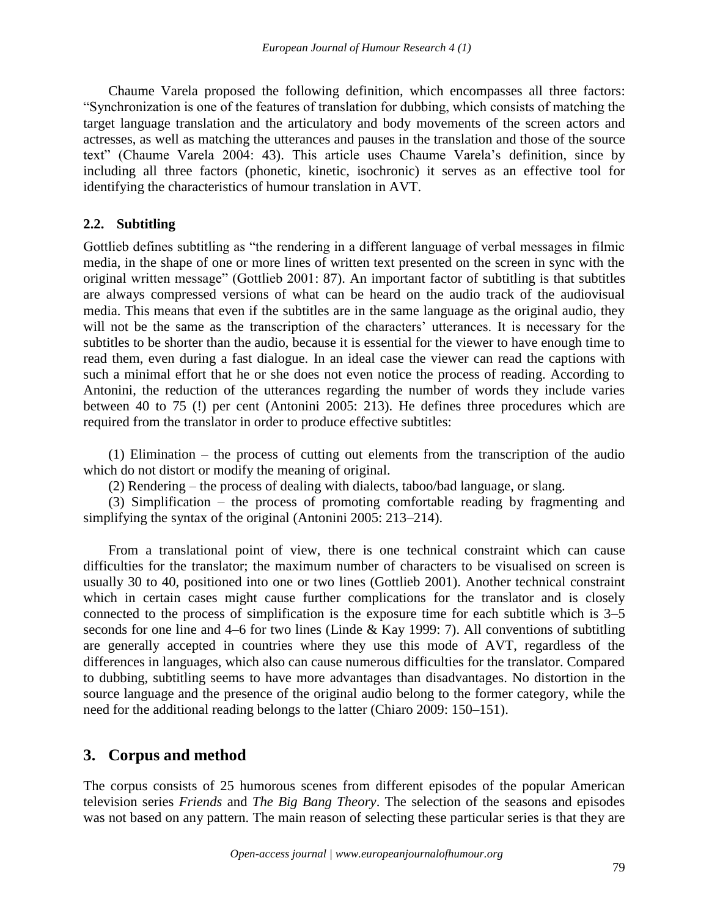Chaume Varela proposed the following definition, which encompasses all three factors: "Synchronization is one of the features of translation for dubbing, which consists of matching the target language translation and the articulatory and body movements of the screen actors and actresses, as well as matching the utterances and pauses in the translation and those of the source text" (Chaume Varela 2004: 43). This article uses Chaume Varela's definition, since by including all three factors (phonetic, kinetic, isochronic) it serves as an effective tool for identifying the characteristics of humour translation in AVT.

### **2.2. Subtitling**

Gottlieb defines subtitling as "the rendering in a different language of verbal messages in filmic media, in the shape of one or more lines of written text presented on the screen in sync with the original written message" (Gottlieb 2001: 87). An important factor of subtitling is that subtitles are always compressed versions of what can be heard on the audio track of the audiovisual media. This means that even if the subtitles are in the same language as the original audio, they will not be the same as the transcription of the characters' utterances. It is necessary for the subtitles to be shorter than the audio, because it is essential for the viewer to have enough time to read them, even during a fast dialogue. In an ideal case the viewer can read the captions with such a minimal effort that he or she does not even notice the process of reading. According to Antonini, the reduction of the utterances regarding the number of words they include varies between 40 to 75 (!) per cent (Antonini 2005: 213). He defines three procedures which are required from the translator in order to produce effective subtitles:

(1) Elimination – the process of cutting out elements from the transcription of the audio which do not distort or modify the meaning of original.

(2) Rendering – the process of dealing with dialects, taboo/bad language, or slang.

(3) Simplification – the process of promoting comfortable reading by fragmenting and simplifying the syntax of the original (Antonini 2005: 213–214).

From a translational point of view, there is one technical constraint which can cause difficulties for the translator; the maximum number of characters to be visualised on screen is usually 30 to 40, positioned into one or two lines (Gottlieb 2001). Another technical constraint which in certain cases might cause further complications for the translator and is closely connected to the process of simplification is the exposure time for each subtitle which is 3–5 seconds for one line and 4–6 for two lines (Linde & Kay 1999: 7). All conventions of subtitling are generally accepted in countries where they use this mode of AVT, regardless of the differences in languages, which also can cause numerous difficulties for the translator. Compared to dubbing, subtitling seems to have more advantages than disadvantages. No distortion in the source language and the presence of the original audio belong to the former category, while the need for the additional reading belongs to the latter (Chiaro 2009: 150–151).

# **3. Corpus and method**

The corpus consists of 25 humorous scenes from different episodes of the popular American television series *Friends* and *The Big Bang Theory*. The selection of the seasons and episodes was not based on any pattern. The main reason of selecting these particular series is that they are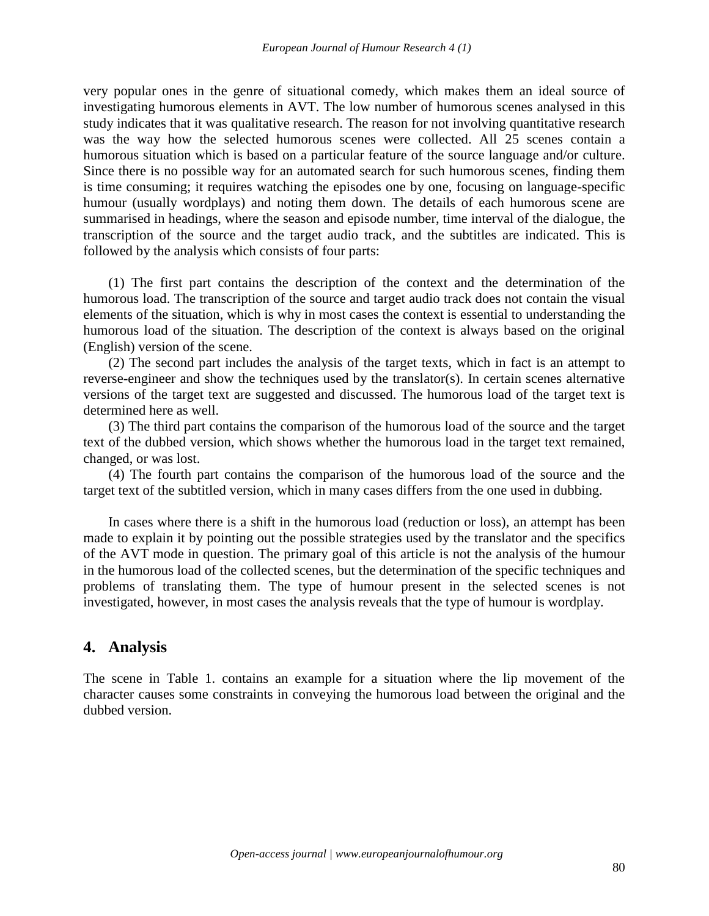very popular ones in the genre of situational comedy, which makes them an ideal source of investigating humorous elements in AVT. The low number of humorous scenes analysed in this study indicates that it was qualitative research. The reason for not involving quantitative research was the way how the selected humorous scenes were collected. All 25 scenes contain a humorous situation which is based on a particular feature of the source language and/or culture. Since there is no possible way for an automated search for such humorous scenes, finding them is time consuming; it requires watching the episodes one by one, focusing on language-specific humour (usually wordplays) and noting them down. The details of each humorous scene are summarised in headings, where the season and episode number, time interval of the dialogue, the transcription of the source and the target audio track, and the subtitles are indicated. This is followed by the analysis which consists of four parts:

(1) The first part contains the description of the context and the determination of the humorous load. The transcription of the source and target audio track does not contain the visual elements of the situation, which is why in most cases the context is essential to understanding the humorous load of the situation. The description of the context is always based on the original (English) version of the scene.

(2) The second part includes the analysis of the target texts, which in fact is an attempt to reverse-engineer and show the techniques used by the translator(s). In certain scenes alternative versions of the target text are suggested and discussed. The humorous load of the target text is determined here as well.

(3) The third part contains the comparison of the humorous load of the source and the target text of the dubbed version, which shows whether the humorous load in the target text remained, changed, or was lost.

(4) The fourth part contains the comparison of the humorous load of the source and the target text of the subtitled version, which in many cases differs from the one used in dubbing.

In cases where there is a shift in the humorous load (reduction or loss), an attempt has been made to explain it by pointing out the possible strategies used by the translator and the specifics of the AVT mode in question. The primary goal of this article is not the analysis of the humour in the humorous load of the collected scenes, but the determination of the specific techniques and problems of translating them. The type of humour present in the selected scenes is not investigated, however, in most cases the analysis reveals that the type of humour is wordplay.

# **4. Analysis**

The scene in Table 1. contains an example for a situation where the lip movement of the character causes some constraints in conveying the humorous load between the original and the dubbed version.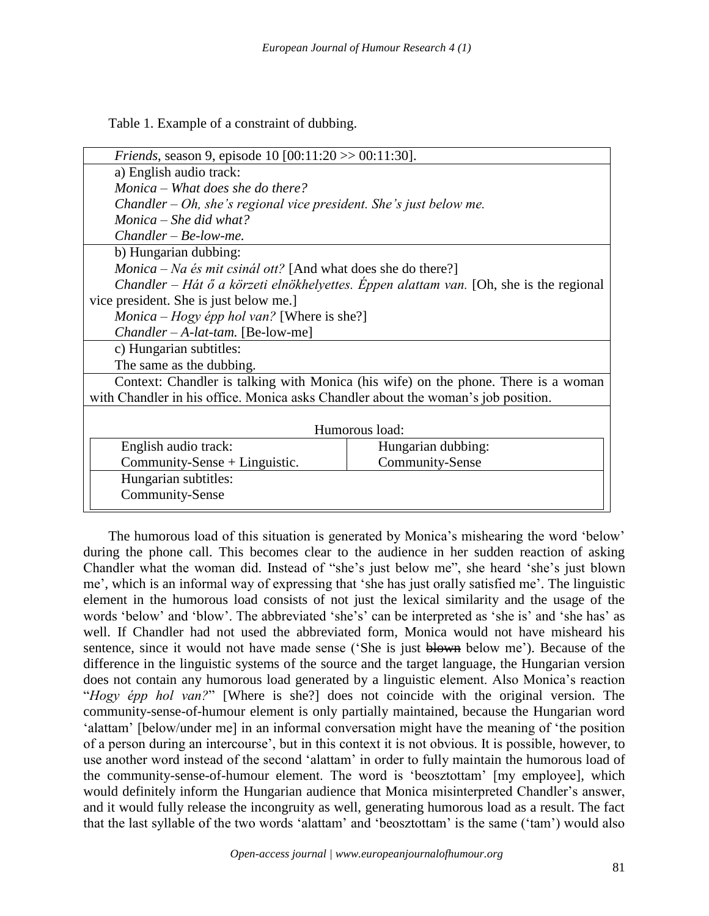Table 1. Example of a constraint of dubbing.

| <i>Friends</i> , season 9, episode 10 [00:11:20 >> 00:11:30].                          |                    |  |
|----------------------------------------------------------------------------------------|--------------------|--|
| a) English audio track:                                                                |                    |  |
| Monica – What does she do there?                                                       |                    |  |
| Chandler – Oh, she's regional vice president. She's just below me.                     |                    |  |
| Monica – She did what?                                                                 |                    |  |
| $Chandler - Be-low-me.$                                                                |                    |  |
| b) Hungarian dubbing:                                                                  |                    |  |
| <i>Monica – Na és mit csinál ott?</i> [And what does she do there?]                    |                    |  |
| Chandler – Hát ő a körzeti elnökhelyettes. Éppen alattam van. [Oh, she is the regional |                    |  |
| vice president. She is just below me.]                                                 |                    |  |
| $Monica - Hogy$ épp hol van? [Where is she?]                                           |                    |  |
| $Chandler - A-lat-tam.$ [Be-low-me]                                                    |                    |  |
| c) Hungarian subtitles:                                                                |                    |  |
| The same as the dubbing.                                                               |                    |  |
| Context: Chandler is talking with Monica (his wife) on the phone. There is a woman     |                    |  |
| with Chandler in his office. Monica asks Chandler about the woman's job position.      |                    |  |
|                                                                                        |                    |  |
| Humorous load:                                                                         |                    |  |
| English audio track:                                                                   | Hungarian dubbing: |  |
| Community-Sense + Linguistic.                                                          | Community-Sense    |  |
| Hungarian subtitles:                                                                   |                    |  |
| Community-Sense                                                                        |                    |  |

The humorous load of this situation is generated by Monica's mishearing the word 'below' during the phone call. This becomes clear to the audience in her sudden reaction of asking Chandler what the woman did. Instead of "she's just below me", she heard 'she's just blown me', which is an informal way of expressing that 'she has just orally satisfied me'. The linguistic element in the humorous load consists of not just the lexical similarity and the usage of the words 'below' and 'blow'. The abbreviated 'she's' can be interpreted as 'she is' and 'she has' as well. If Chandler had not used the abbreviated form, Monica would not have misheard his sentence, since it would not have made sense ('She is just blown below me'). Because of the difference in the linguistic systems of the source and the target language, the Hungarian version does not contain any humorous load generated by a linguistic element. Also Monica's reaction "*Hogy épp hol van?*" [Where is she?] does not coincide with the original version. The community-sense-of-humour element is only partially maintained, because the Hungarian word 'alattam' [below/under me] in an informal conversation might have the meaning of 'the position of a person during an intercourse', but in this context it is not obvious. It is possible, however, to use another word instead of the second 'alattam' in order to fully maintain the humorous load of the community-sense-of-humour element. The word is 'beosztottam' [my employee], which would definitely inform the Hungarian audience that Monica misinterpreted Chandler's answer, and it would fully release the incongruity as well, generating humorous load as a result. The fact that the last syllable of the two words 'alattam' and 'beosztottam' is the same ('tam') would also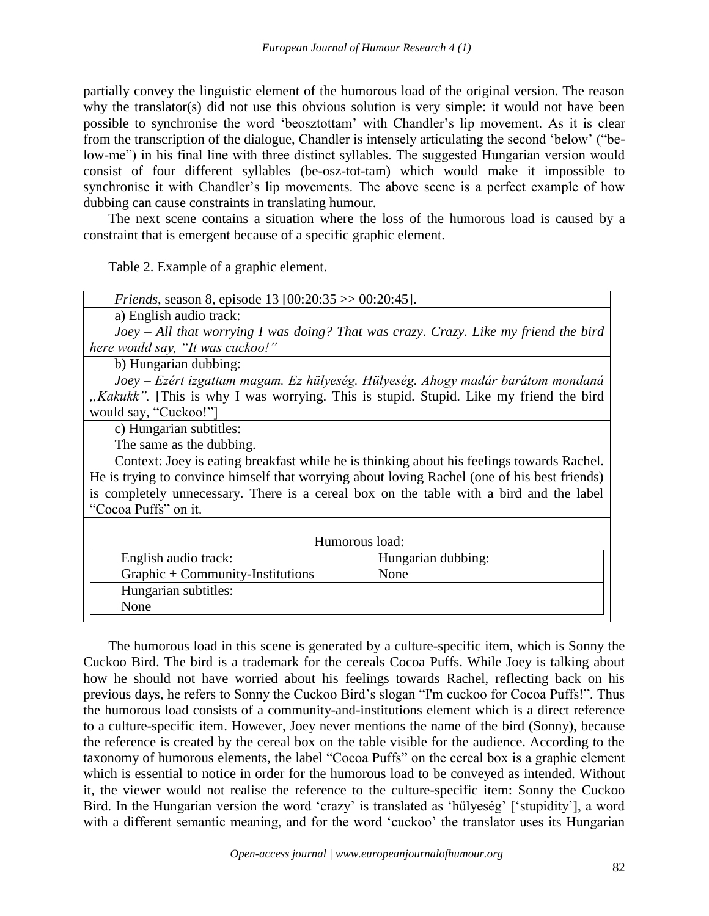partially convey the linguistic element of the humorous load of the original version. The reason why the translator(s) did not use this obvious solution is very simple: it would not have been possible to synchronise the word 'beosztottam' with Chandler's lip movement. As it is clear from the transcription of the dialogue, Chandler is intensely articulating the second 'below' ("below-me") in his final line with three distinct syllables. The suggested Hungarian version would consist of four different syllables (be-osz-tot-tam) which would make it impossible to synchronise it with Chandler's lip movements. The above scene is a perfect example of how dubbing can cause constraints in translating humour.

The next scene contains a situation where the loss of the humorous load is caused by a constraint that is emergent because of a specific graphic element.

Table 2. Example of a graphic element.

| <i>Friends</i> , season 8, episode 13 [00:20:35 $>$ 00:20:45].                               |                    |  |
|----------------------------------------------------------------------------------------------|--------------------|--|
| a) English audio track:                                                                      |                    |  |
| Joey $-All$ that worrying I was doing? That was crazy. Crazy. Like my friend the bird        |                    |  |
| here would say, "It was cuckoo!"                                                             |                    |  |
| b) Hungarian dubbing:                                                                        |                    |  |
| Joey – Ezért izgattam magam. Ez hülyeség. Hülyeség. Ahogy madár barátom mondaná              |                    |  |
| "Kakukk". [This is why I was worrying. This is stupid. Stupid. Like my friend the bird       |                    |  |
| would say, "Cuckoo!"]                                                                        |                    |  |
| c) Hungarian subtitles:                                                                      |                    |  |
| The same as the dubbing.                                                                     |                    |  |
| Context: Joey is eating breakfast while he is thinking about his feelings towards Rachel.    |                    |  |
| He is trying to convince himself that worrying about loving Rachel (one of his best friends) |                    |  |
| is completely unnecessary. There is a cereal box on the table with a bird and the label      |                    |  |
| "Cocoa Puffs" on it.                                                                         |                    |  |
|                                                                                              |                    |  |
| Humorous load:                                                                               |                    |  |
| English audio track:                                                                         | Hungarian dubbing: |  |
| Graphic + Community-Institutions                                                             | None               |  |
| Hungarian subtitles:                                                                         |                    |  |
| None                                                                                         |                    |  |
|                                                                                              |                    |  |

The humorous load in this scene is generated by a culture-specific item, which is Sonny the Cuckoo Bird. The bird is a trademark for the cereals Cocoa Puffs. While Joey is talking about how he should not have worried about his feelings towards Rachel, reflecting back on his previous days, he refers to Sonny the Cuckoo Bird's slogan "I'm cuckoo for Cocoa Puffs!". Thus the humorous load consists of a community-and-institutions element which is a direct reference to a culture-specific item. However, Joey never mentions the name of the bird (Sonny), because the reference is created by the cereal box on the table visible for the audience. According to the taxonomy of humorous elements, the label "Cocoa Puffs" on the cereal box is a graphic element which is essential to notice in order for the humorous load to be conveyed as intended. Without it, the viewer would not realise the reference to the culture-specific item: Sonny the Cuckoo Bird. In the Hungarian version the word 'crazy' is translated as 'hülyeség' ['stupidity'], a word with a different semantic meaning, and for the word 'cuckoo' the translator uses its Hungarian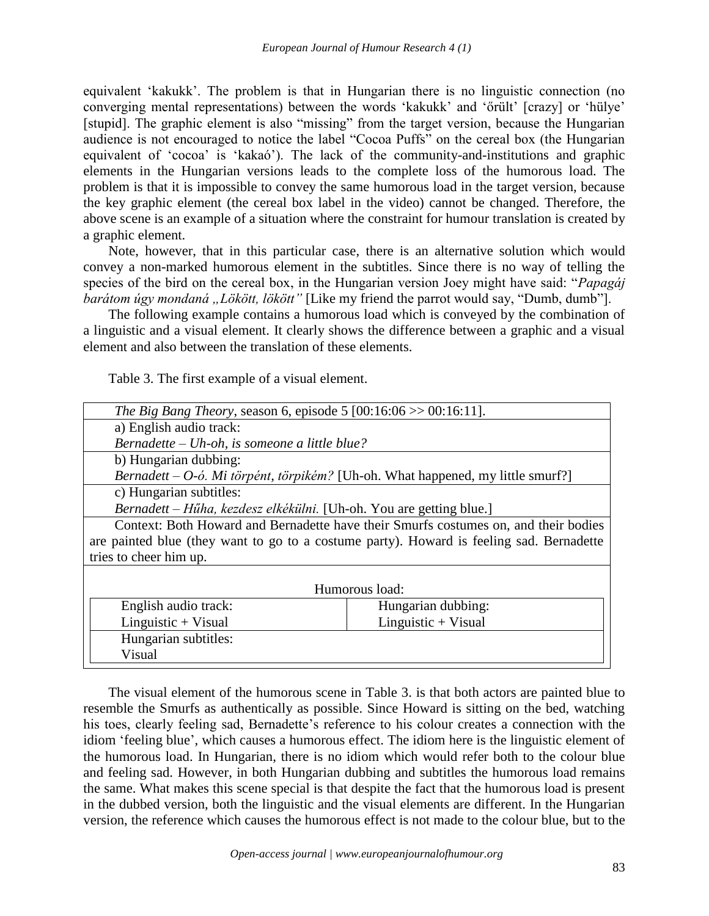equivalent 'kakukk'. The problem is that in Hungarian there is no linguistic connection (no converging mental representations) between the words 'kakukk' and 'őrült' [crazy] or 'hülye' [stupid]. The graphic element is also "missing" from the target version, because the Hungarian audience is not encouraged to notice the label "Cocoa Puffs" on the cereal box (the Hungarian equivalent of 'cocoa' is 'kakaó'). The lack of the community-and-institutions and graphic elements in the Hungarian versions leads to the complete loss of the humorous load. The problem is that it is impossible to convey the same humorous load in the target version, because the key graphic element (the cereal box label in the video) cannot be changed. Therefore, the above scene is an example of a situation where the constraint for humour translation is created by a graphic element.

Note, however, that in this particular case, there is an alternative solution which would convey a non-marked humorous element in the subtitles. Since there is no way of telling the species of the bird on the cereal box, in the Hungarian version Joey might have said: "*Papagáj barátom úgy mondaná "Lökött, lökött"* [Like my friend the parrot would say, "Dumb, dumb"].

The following example contains a humorous load which is conveyed by the combination of a linguistic and a visual element. It clearly shows the difference between a graphic and a visual element and also between the translation of these elements.

Table 3. The first example of a visual element.

| <i>The Big Bang Theory</i> , season 6, episode 5 $[00:16:06 \gg 00:16:11]$ .             |  |  |
|------------------------------------------------------------------------------------------|--|--|
| a) English audio track:                                                                  |  |  |
| Bernadette – Uh-oh, is someone a little blue?                                            |  |  |
| b) Hungarian dubbing:                                                                    |  |  |
| Bernadett – O-ó. Mi törpént, törpikém? [Uh-oh. What happened, my little smurf?]          |  |  |
| c) Hungarian subtitles:                                                                  |  |  |
| Bernadett – Hűha, kezdesz elkékülni. [Uh-oh. You are getting blue.]                      |  |  |
| Context: Both Howard and Bernadette have their Smurfs costumes on, and their bodies      |  |  |
| are painted blue (they want to go to a costume party). Howard is feeling sad. Bernadette |  |  |
| tries to cheer him up.                                                                   |  |  |
|                                                                                          |  |  |
| Humorous load:                                                                           |  |  |
| Hungarian dubbing:<br>English audio track:                                               |  |  |
| $Linguistic + Visual$<br>$Linguistic + Visual$                                           |  |  |
| Hungarian subtitles:                                                                     |  |  |
| Visual                                                                                   |  |  |

The visual element of the humorous scene in Table 3. is that both actors are painted blue to resemble the Smurfs as authentically as possible. Since Howard is sitting on the bed, watching his toes, clearly feeling sad, Bernadette's reference to his colour creates a connection with the idiom 'feeling blue', which causes a humorous effect. The idiom here is the linguistic element of the humorous load. In Hungarian, there is no idiom which would refer both to the colour blue and feeling sad. However, in both Hungarian dubbing and subtitles the humorous load remains the same. What makes this scene special is that despite the fact that the humorous load is present in the dubbed version, both the linguistic and the visual elements are different. In the Hungarian version, the reference which causes the humorous effect is not made to the colour blue, but to the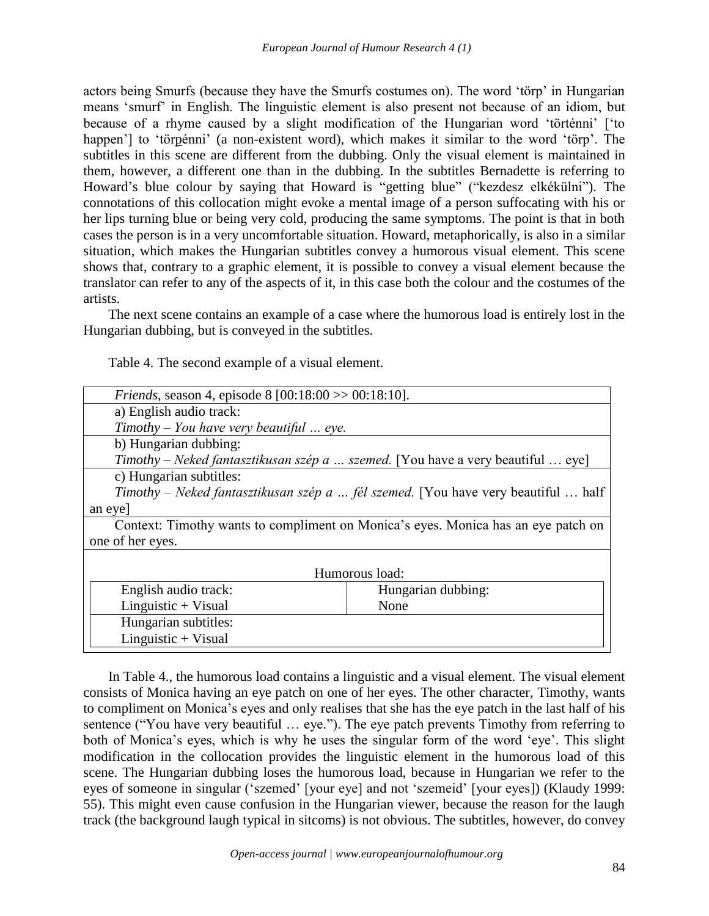actors being Smurfs (because they have the Smurfs costumes on). The word 'törp' in Hungarian means 'smurf' in English. The linguistic element is also present not because of an idiom, but because of a rhyme caused by a slight modification of the Hungarian word 'történni' ['to happen'] to 'törpénni' (a non-existent word), which makes it similar to the word 'törp'. The subtitles in this scene are different from the dubbing. Only the visual element is maintained in them, however, a different one than in the dubbing. In the subtitles Bernadette is referring to Howard's blue colour by saying that Howard is "getting blue" ("kezdesz elkékülni"). The connotations of this collocation might evoke a mental image of a person suffocating with his or her lips turning blue or being very cold, producing the same symptoms. The point is that in both cases the person is in a very uncomfortable situation. Howard, metaphorically, is also in a similar situation, which makes the Hungarian subtitles convey a humorous visual element. This scene shows that, contrary to a graphic element, it is possible to convey a visual element because the translator can refer to any of the aspects of it, in this case both the colour and the costumes of the artists.

The next scene contains an example of a case where the humorous load is entirely lost in the Hungarian dubbing, but is conveyed in the subtitles.

| <i>Friends</i> , season 4, episode 8 $[00:18:00 \gg 00:18:10]$ .                         |                    |  |
|------------------------------------------------------------------------------------------|--------------------|--|
| a) English audio track:                                                                  |                    |  |
| Timothy – You have very beautiful $\ldots$ eye.                                          |                    |  |
| b) Hungarian dubbing:                                                                    |                    |  |
| Timothy – Neked fantasztikusan szép a  szemed. [You have a very beautiful  eye]          |                    |  |
| c) Hungarian subtitles:                                                                  |                    |  |
| <i>Timothy – Neked fantasztikusan szép a  fél szemed.</i> [You have very beautiful  half |                    |  |
| an eyel                                                                                  |                    |  |
| Context: Timothy wants to compliment on Monica's eyes. Monica has an eye patch on        |                    |  |
| one of her eyes.                                                                         |                    |  |
|                                                                                          |                    |  |
| Humorous load:                                                                           |                    |  |
| English audio track:                                                                     | Hungarian dubbing: |  |
| $Linguistic + Visual$                                                                    | None               |  |
| Hungarian subtitles:                                                                     |                    |  |
| $Linguistic + Visual$                                                                    |                    |  |

Table 4. The second example of a visual element.

In Table 4., the humorous load contains a linguistic and a visual element. The visual element consists of Monica having an eye patch on one of her eyes. The other character, Timothy, wants to compliment on Monica's eyes and only realises that she has the eye patch in the last half of his sentence ("You have very beautiful … eye."). The eye patch prevents Timothy from referring to both of Monica's eyes, which is why he uses the singular form of the word 'eye'. This slight modification in the collocation provides the linguistic element in the humorous load of this scene. The Hungarian dubbing loses the humorous load, because in Hungarian we refer to the eyes of someone in singular ('szemed' [your eye] and not 'szemeid' [your eyes]) (Klaudy 1999: 55). This might even cause confusion in the Hungarian viewer, because the reason for the laugh track (the background laugh typical in sitcoms) is not obvious. The subtitles, however, do convey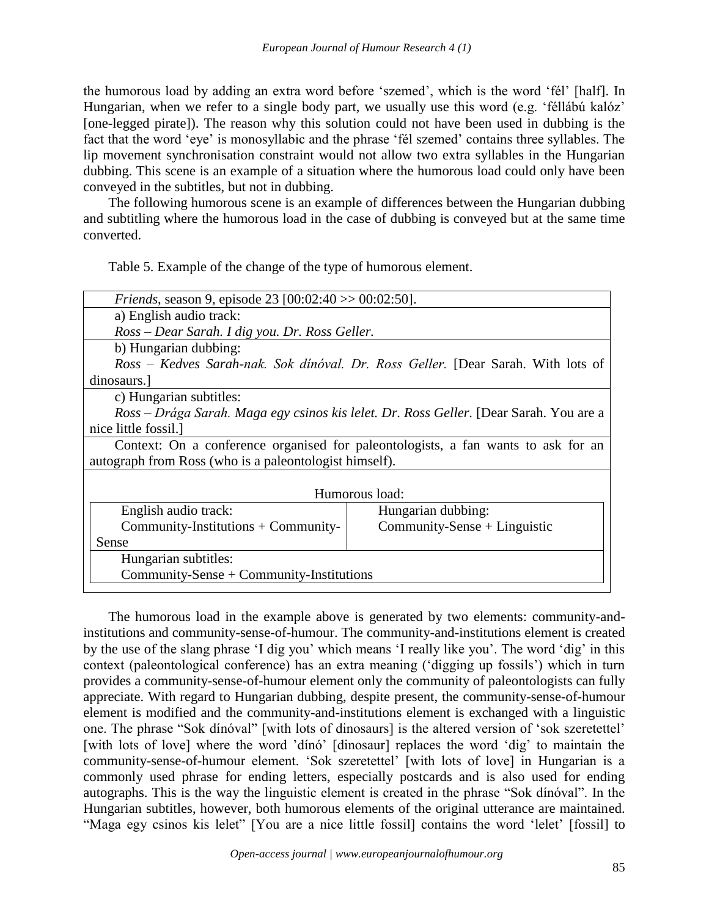the humorous load by adding an extra word before 'szemed', which is the word 'fél' [half]. In Hungarian, when we refer to a single body part, we usually use this word (e.g. 'féllábú kalóz' [one-legged pirate]). The reason why this solution could not have been used in dubbing is the fact that the word 'eye' is monosyllabic and the phrase 'fél szemed' contains three syllables. The lip movement synchronisation constraint would not allow two extra syllables in the Hungarian dubbing. This scene is an example of a situation where the humorous load could only have been conveyed in the subtitles, but not in dubbing.

The following humorous scene is an example of differences between the Hungarian dubbing and subtitling where the humorous load in the case of dubbing is conveyed but at the same time converted.

Table 5. Example of the change of the type of humorous element.

| <i>Friends</i> , season 9, episode 23 [00:02:40 $>$ 00:02:50].                         |                              |  |
|----------------------------------------------------------------------------------------|------------------------------|--|
| a) English audio track:                                                                |                              |  |
| Ross - Dear Sarah. I dig you. Dr. Ross Geller.                                         |                              |  |
| b) Hungarian dubbing:                                                                  |                              |  |
| Ross - Kedves Sarah-nak. Sok dinóval. Dr. Ross Geller. [Dear Sarah. With lots of       |                              |  |
| dinosaurs.                                                                             |                              |  |
| c) Hungarian subtitles:                                                                |                              |  |
| Ross – Drága Sarah. Maga egy csinos kis lelet. Dr. Ross Geller. [Dear Sarah. You are a |                              |  |
| nice little fossil.                                                                    |                              |  |
| Context: On a conference organised for paleontologists, a fan wants to ask for an      |                              |  |
| autograph from Ross (who is a paleontologist himself).                                 |                              |  |
|                                                                                        |                              |  |
| Humorous load:                                                                         |                              |  |
| English audio track:                                                                   | Hungarian dubbing:           |  |
| $Commuty-Institutions + Community-$                                                    | $Commuty-Sense + Linguistic$ |  |
| Sense                                                                                  |                              |  |
| Hungarian subtitles:                                                                   |                              |  |
| $Commuty-Sense + Community-Institutions$                                               |                              |  |
|                                                                                        |                              |  |

The humorous load in the example above is generated by two elements: community-andinstitutions and community-sense-of-humour. The community-and-institutions element is created by the use of the slang phrase 'I dig you' which means 'I really like you'. The word 'dig' in this context (paleontological conference) has an extra meaning ('digging up fossils') which in turn provides a community-sense-of-humour element only the community of paleontologists can fully appreciate. With regard to Hungarian dubbing, despite present, the community-sense-of-humour element is modified and the community-and-institutions element is exchanged with a linguistic one. The phrase "Sok dínóval" [with lots of dinosaurs] is the altered version of 'sok szeretettel' [with lots of love] where the word 'dínó' [dinosaur] replaces the word 'dig' to maintain the community-sense-of-humour element. 'Sok szeretettel' [with lots of love] in Hungarian is a commonly used phrase for ending letters, especially postcards and is also used for ending autographs. This is the way the linguistic element is created in the phrase "Sok dínóval". In the Hungarian subtitles, however, both humorous elements of the original utterance are maintained. "Maga egy csinos kis lelet" [You are a nice little fossil] contains the word 'lelet' [fossil] to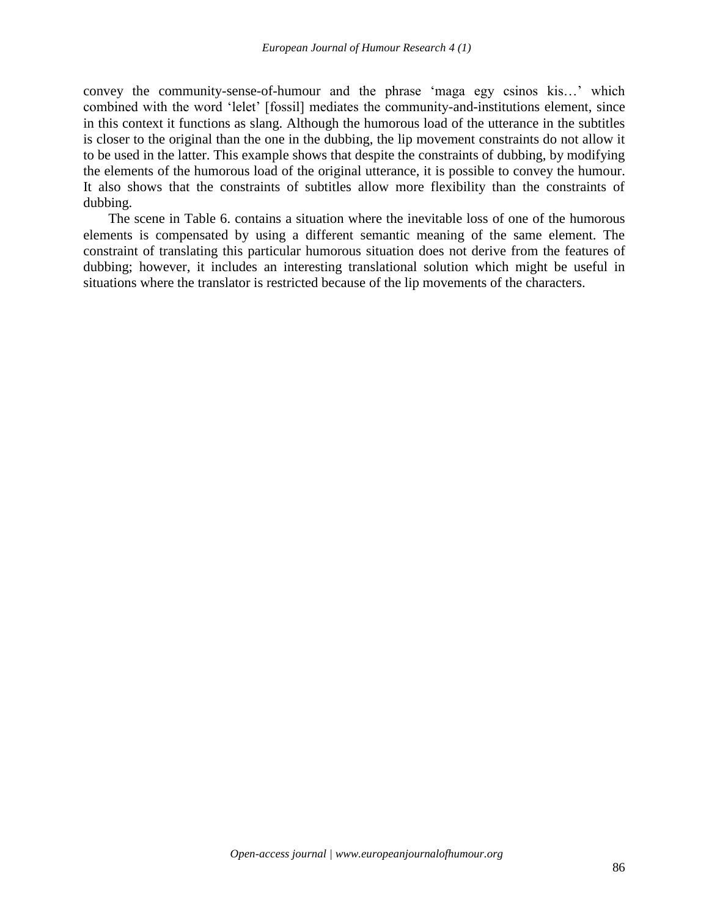convey the community-sense-of-humour and the phrase 'maga egy csinos kis…' which combined with the word 'lelet' [fossil] mediates the community-and-institutions element, since in this context it functions as slang. Although the humorous load of the utterance in the subtitles is closer to the original than the one in the dubbing, the lip movement constraints do not allow it to be used in the latter. This example shows that despite the constraints of dubbing, by modifying the elements of the humorous load of the original utterance, it is possible to convey the humour. It also shows that the constraints of subtitles allow more flexibility than the constraints of dubbing.

The scene in Table 6. contains a situation where the inevitable loss of one of the humorous elements is compensated by using a different semantic meaning of the same element. The constraint of translating this particular humorous situation does not derive from the features of dubbing; however, it includes an interesting translational solution which might be useful in situations where the translator is restricted because of the lip movements of the characters.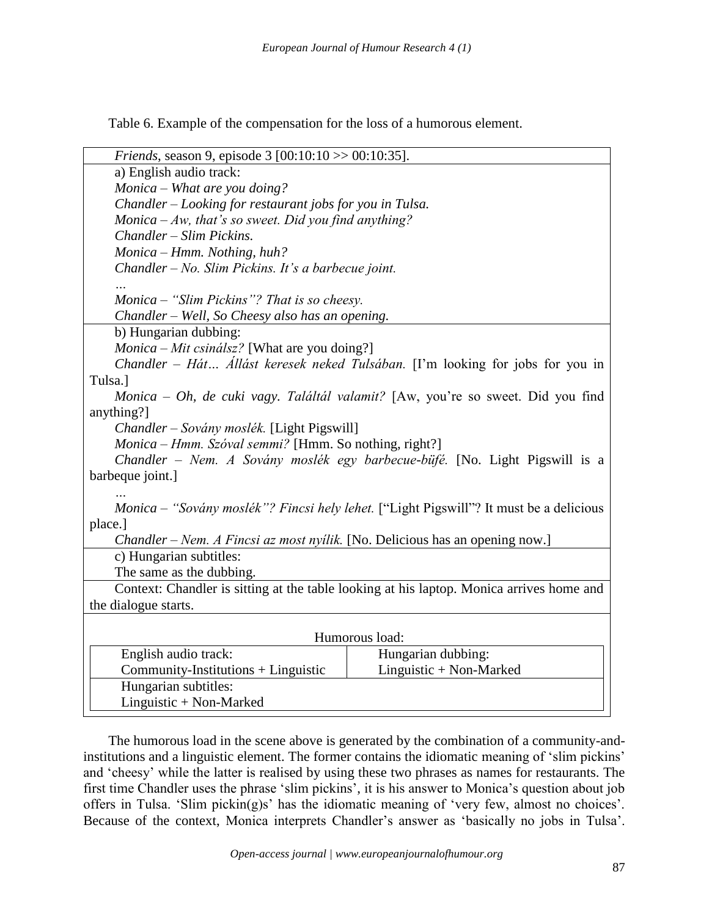Table 6. Example of the compensation for the loss of a humorous element.

| <i>Friends</i> , season 9, episode 3 $[00:10:10 \gg 00:10:35]$ .                         |                                                                                        |  |  |
|------------------------------------------------------------------------------------------|----------------------------------------------------------------------------------------|--|--|
| a) English audio track:                                                                  |                                                                                        |  |  |
| $Monica - What$ are you doing?                                                           |                                                                                        |  |  |
| Chandler – Looking for restaurant jobs for you in Tulsa.                                 |                                                                                        |  |  |
| Monica $-Aw$ , that's so sweet. Did you find anything?                                   |                                                                                        |  |  |
| Chandler - Slim Pickins.                                                                 |                                                                                        |  |  |
| Monica - Hmm. Nothing, huh?                                                              |                                                                                        |  |  |
| Chandler - No. Slim Pickins. It's a barbecue joint.                                      |                                                                                        |  |  |
|                                                                                          |                                                                                        |  |  |
| Monica – "Slim Pickins"? That is so cheesy.                                              |                                                                                        |  |  |
| Chandler – Well, So Cheesy also has an opening.                                          |                                                                                        |  |  |
| b) Hungarian dubbing:                                                                    |                                                                                        |  |  |
| $Monica - Mit csinálsz?$ [What are you doing?]                                           |                                                                                        |  |  |
| Chandler – Hát Állást keresek neked Tulsában. [I'm looking for jobs for you in           |                                                                                        |  |  |
| Tulsa.]                                                                                  |                                                                                        |  |  |
| Monica – Oh, de cuki vagy. Találtál valamit? [Aw, you're so sweet. Did you find          |                                                                                        |  |  |
| anything?]                                                                               |                                                                                        |  |  |
| Chandler – Sovány moslék. [Light Pigswill]                                               |                                                                                        |  |  |
| Monica – Hmm. Szóval semmi? [Hmm. So nothing, right?]                                    |                                                                                        |  |  |
|                                                                                          | Chandler – Nem. A Sovány moslék egy barbecue-büfé. [No. Light Pigswill is a            |  |  |
| barbeque joint.]                                                                         |                                                                                        |  |  |
|                                                                                          |                                                                                        |  |  |
|                                                                                          | Monica - "Sovány moslék"? Fincsi hely lehet. ["Light Pigswill"? It must be a delicious |  |  |
| place.]                                                                                  |                                                                                        |  |  |
| Chandler – Nem. A Fincsi az most nyílik. [No. Delicious has an opening now.]             |                                                                                        |  |  |
| c) Hungarian subtitles:                                                                  |                                                                                        |  |  |
| The same as the dubbing.                                                                 |                                                                                        |  |  |
| Context: Chandler is sitting at the table looking at his laptop. Monica arrives home and |                                                                                        |  |  |
| the dialogue starts.                                                                     |                                                                                        |  |  |
|                                                                                          |                                                                                        |  |  |
| Humorous load:                                                                           |                                                                                        |  |  |
| English audio track:                                                                     | Hungarian dubbing:                                                                     |  |  |
| $Commuty-Institutions + Linguistic$                                                      | Linguistic + Non-Marked                                                                |  |  |
| Hungarian subtitles:                                                                     |                                                                                        |  |  |
| Linguistic + Non-Marked                                                                  |                                                                                        |  |  |

The humorous load in the scene above is generated by the combination of a community-andinstitutions and a linguistic element. The former contains the idiomatic meaning of 'slim pickins' and 'cheesy' while the latter is realised by using these two phrases as names for restaurants. The first time Chandler uses the phrase 'slim pickins', it is his answer to Monica's question about job offers in Tulsa. 'Slim pickin(g)s' has the idiomatic meaning of 'very few, almost no choices'. Because of the context, Monica interprets Chandler's answer as 'basically no jobs in Tulsa'.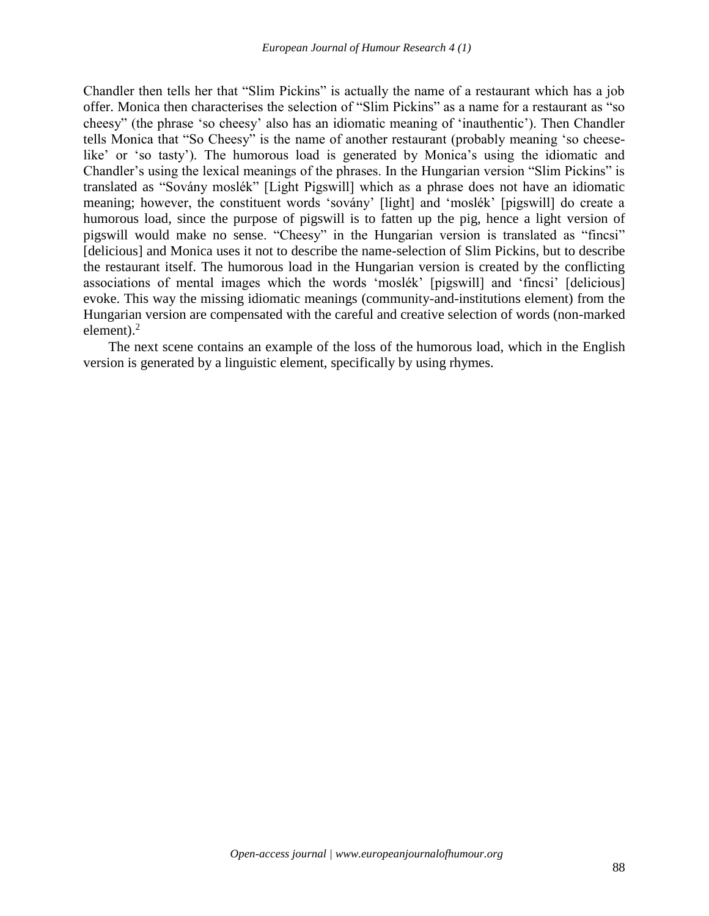Chandler then tells her that "Slim Pickins" is actually the name of a restaurant which has a job offer. Monica then characterises the selection of "Slim Pickins" as a name for a restaurant as "so cheesy" (the phrase 'so cheesy' also has an idiomatic meaning of 'inauthentic'). Then Chandler tells Monica that "So Cheesy" is the name of another restaurant (probably meaning 'so cheeselike' or 'so tasty'). The humorous load is generated by Monica's using the idiomatic and Chandler's using the lexical meanings of the phrases. In the Hungarian version "Slim Pickins" is translated as "Sovány moslék" [Light Pigswill] which as a phrase does not have an idiomatic meaning; however, the constituent words 'sovány' [light] and 'moslék' [pigswill] do create a humorous load, since the purpose of pigswill is to fatten up the pig, hence a light version of pigswill would make no sense. "Cheesy" in the Hungarian version is translated as "fincsi" [delicious] and Monica uses it not to describe the name-selection of Slim Pickins, but to describe the restaurant itself. The humorous load in the Hungarian version is created by the conflicting associations of mental images which the words 'moslék' [pigswill] and 'fincsi' [delicious] evoke. This way the missing idiomatic meanings (community-and-institutions element) from the Hungarian version are compensated with the careful and creative selection of words (non-marked element). $^{2}$ 

The next scene contains an example of the loss of the humorous load, which in the English version is generated by a linguistic element, specifically by using rhymes.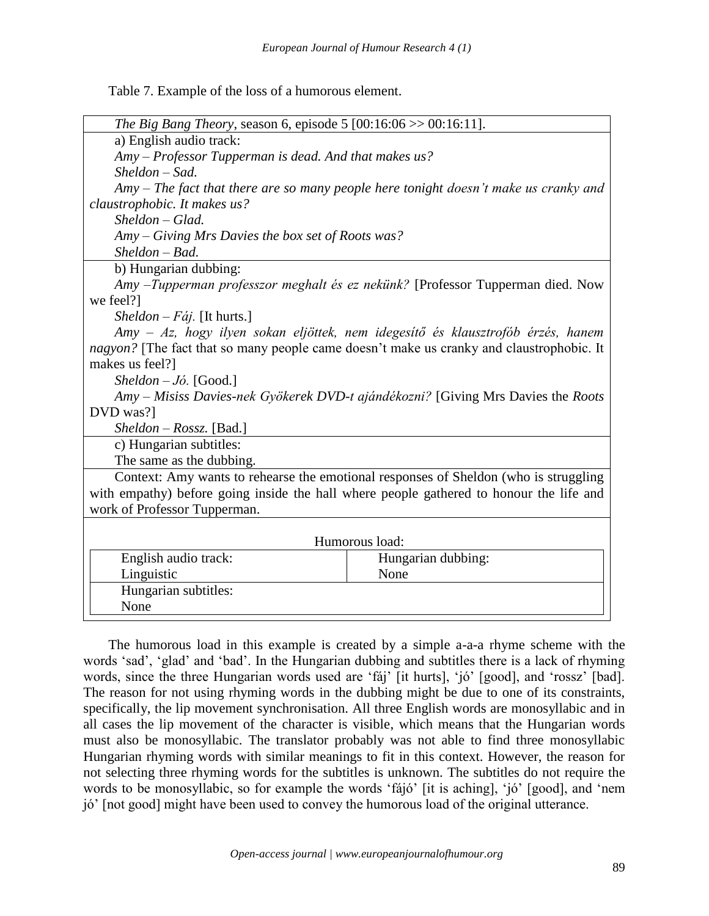Table 7. Example of the loss of a humorous element.

| <i>The Big Bang Theory</i> , season 6, episode 5 $[00:16:06 \gg 00:16:11]$ .            |                                                                                          |  |
|-----------------------------------------------------------------------------------------|------------------------------------------------------------------------------------------|--|
| a) English audio track:                                                                 |                                                                                          |  |
| Amy - Professor Tupperman is dead. And that makes us?                                   |                                                                                          |  |
| Sheldon - Sad.                                                                          |                                                                                          |  |
| $Amy$ – The fact that there are so many people here tonight doesn't make us cranky and  |                                                                                          |  |
| claustrophobic. It makes us?                                                            |                                                                                          |  |
| $Sheldon-Glad.$                                                                         |                                                                                          |  |
| Amy – Giving Mrs Davies the box set of Roots was?                                       |                                                                                          |  |
| $Sheldon-Bad.$                                                                          |                                                                                          |  |
| b) Hungarian dubbing:                                                                   |                                                                                          |  |
|                                                                                         | Amy –Tupperman professzor meghalt és ez nekünk? [Professor Tupperman died. Now           |  |
| we feel?]                                                                               |                                                                                          |  |
| <i>Sheldon – Fáj.</i> [It hurts.]                                                       |                                                                                          |  |
| Amy – Az, hogy ilyen sokan eljöttek, nem idegesítő és klausztrofób érzés, hanem         |                                                                                          |  |
|                                                                                         | nagyon? [The fact that so many people came doesn't make us cranky and claustrophobic. It |  |
| makes us feel?]                                                                         |                                                                                          |  |
| Sheldon $-J$ ó. [Good.]                                                                 |                                                                                          |  |
| Amy – Misiss Davies-nek Gyökerek DVD-t ajándékozni? [Giving Mrs Davies the Roots        |                                                                                          |  |
| DVD was?]                                                                               |                                                                                          |  |
| $Sheldon - Rossz.$ [Bad.]                                                               |                                                                                          |  |
| c) Hungarian subtitles:                                                                 |                                                                                          |  |
| The same as the dubbing.                                                                |                                                                                          |  |
| Context: Amy wants to rehearse the emotional responses of Sheldon (who is struggling    |                                                                                          |  |
| with empathy) before going inside the hall where people gathered to honour the life and |                                                                                          |  |
| work of Professor Tupperman.                                                            |                                                                                          |  |
|                                                                                         |                                                                                          |  |
| Humorous load:                                                                          |                                                                                          |  |
| English audio track:                                                                    | Hungarian dubbing:                                                                       |  |
| Linguistic                                                                              | None                                                                                     |  |
| Hungarian subtitles:                                                                    |                                                                                          |  |
| None                                                                                    |                                                                                          |  |

The humorous load in this example is created by a simple a-a-a rhyme scheme with the words 'sad', 'glad' and 'bad'. In the Hungarian dubbing and subtitles there is a lack of rhyming words, since the three Hungarian words used are 'fáj' [it hurts], 'jó' [good], and 'rossz' [bad]. The reason for not using rhyming words in the dubbing might be due to one of its constraints, specifically, the lip movement synchronisation. All three English words are monosyllabic and in all cases the lip movement of the character is visible, which means that the Hungarian words must also be monosyllabic. The translator probably was not able to find three monosyllabic Hungarian rhyming words with similar meanings to fit in this context. However, the reason for not selecting three rhyming words for the subtitles is unknown. The subtitles do not require the words to be monosyllabic, so for example the words 'fájó' [it is aching], 'jó' [good], and 'nem jó' [not good] might have been used to convey the humorous load of the original utterance.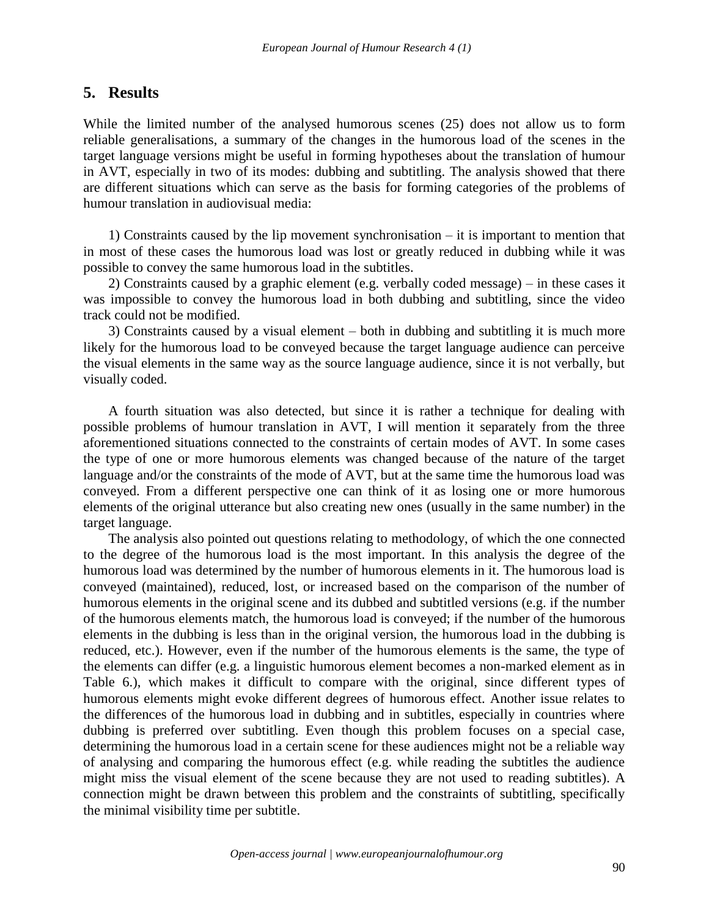# **5. Results**

While the limited number of the analysed humorous scenes (25) does not allow us to form reliable generalisations, a summary of the changes in the humorous load of the scenes in the target language versions might be useful in forming hypotheses about the translation of humour in AVT, especially in two of its modes: dubbing and subtitling. The analysis showed that there are different situations which can serve as the basis for forming categories of the problems of humour translation in audiovisual media:

1) Constraints caused by the lip movement synchronisation – it is important to mention that in most of these cases the humorous load was lost or greatly reduced in dubbing while it was possible to convey the same humorous load in the subtitles.

2) Constraints caused by a graphic element (e.g. verbally coded message) – in these cases it was impossible to convey the humorous load in both dubbing and subtitling, since the video track could not be modified.

3) Constraints caused by a visual element – both in dubbing and subtitling it is much more likely for the humorous load to be conveyed because the target language audience can perceive the visual elements in the same way as the source language audience, since it is not verbally, but visually coded.

A fourth situation was also detected, but since it is rather a technique for dealing with possible problems of humour translation in AVT, I will mention it separately from the three aforementioned situations connected to the constraints of certain modes of AVT. In some cases the type of one or more humorous elements was changed because of the nature of the target language and/or the constraints of the mode of AVT, but at the same time the humorous load was conveyed. From a different perspective one can think of it as losing one or more humorous elements of the original utterance but also creating new ones (usually in the same number) in the target language.

The analysis also pointed out questions relating to methodology, of which the one connected to the degree of the humorous load is the most important. In this analysis the degree of the humorous load was determined by the number of humorous elements in it. The humorous load is conveyed (maintained), reduced, lost, or increased based on the comparison of the number of humorous elements in the original scene and its dubbed and subtitled versions (e.g. if the number of the humorous elements match, the humorous load is conveyed; if the number of the humorous elements in the dubbing is less than in the original version, the humorous load in the dubbing is reduced, etc.). However, even if the number of the humorous elements is the same, the type of the elements can differ (e.g. a linguistic humorous element becomes a non-marked element as in Table 6.), which makes it difficult to compare with the original, since different types of humorous elements might evoke different degrees of humorous effect. Another issue relates to the differences of the humorous load in dubbing and in subtitles, especially in countries where dubbing is preferred over subtitling. Even though this problem focuses on a special case, determining the humorous load in a certain scene for these audiences might not be a reliable way of analysing and comparing the humorous effect (e.g. while reading the subtitles the audience might miss the visual element of the scene because they are not used to reading subtitles). A connection might be drawn between this problem and the constraints of subtitling, specifically the minimal visibility time per subtitle.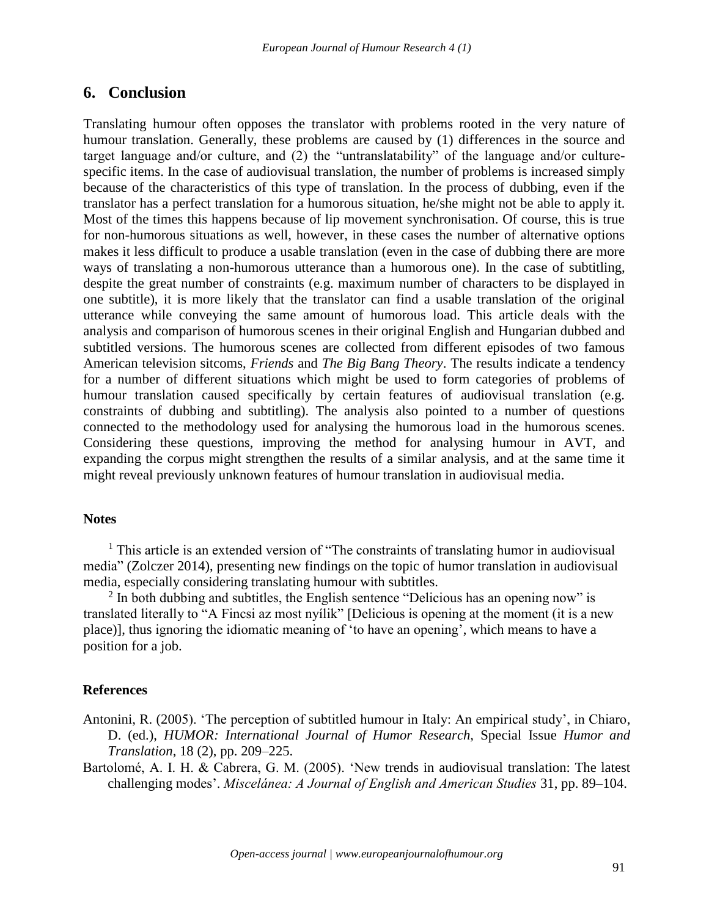# **6. Conclusion**

Translating humour often opposes the translator with problems rooted in the very nature of humour translation. Generally, these problems are caused by (1) differences in the source and target language and/or culture, and (2) the "untranslatability" of the language and/or culturespecific items. In the case of audiovisual translation, the number of problems is increased simply because of the characteristics of this type of translation. In the process of dubbing, even if the translator has a perfect translation for a humorous situation, he/she might not be able to apply it. Most of the times this happens because of lip movement synchronisation. Of course, this is true for non-humorous situations as well, however, in these cases the number of alternative options makes it less difficult to produce a usable translation (even in the case of dubbing there are more ways of translating a non-humorous utterance than a humorous one). In the case of subtitling, despite the great number of constraints (e.g. maximum number of characters to be displayed in one subtitle), it is more likely that the translator can find a usable translation of the original utterance while conveying the same amount of humorous load. This article deals with the analysis and comparison of humorous scenes in their original English and Hungarian dubbed and subtitled versions. The humorous scenes are collected from different episodes of two famous American television sitcoms, *Friends* and *The Big Bang Theory*. The results indicate a tendency for a number of different situations which might be used to form categories of problems of humour translation caused specifically by certain features of audiovisual translation (e.g. constraints of dubbing and subtitling). The analysis also pointed to a number of questions connected to the methodology used for analysing the humorous load in the humorous scenes. Considering these questions, improving the method for analysing humour in AVT, and expanding the corpus might strengthen the results of a similar analysis, and at the same time it might reveal previously unknown features of humour translation in audiovisual media.

### **Notes**

<sup>1</sup> This article is an extended version of "The constraints of translating humor in audiovisual media" (Zolczer 2014), presenting new findings on the topic of humor translation in audiovisual media, especially considering translating humour with subtitles.

<sup>2</sup> In both dubbing and subtitles, the English sentence "Delicious has an opening now" is translated literally to "A Fincsi az most nyílik" [Delicious is opening at the moment (it is a new place)], thus ignoring the idiomatic meaning of 'to have an opening', which means to have a position for a job.

### **References**

Antonini, R. (2005). 'The perception of subtitled humour in Italy: An empirical study', in Chiaro, D. (ed.), *HUMOR: International Journal of Humor Research,* Special Issue *Humor and Translation*, 18 (2), pp. 209–225.

Bartolomé, A. I. H. & Cabrera, G. M. (2005). 'New trends in audiovisual translation: The latest challenging modes'. *Miscelánea: A Journal of English and American Studies* 31, pp. 89–104.